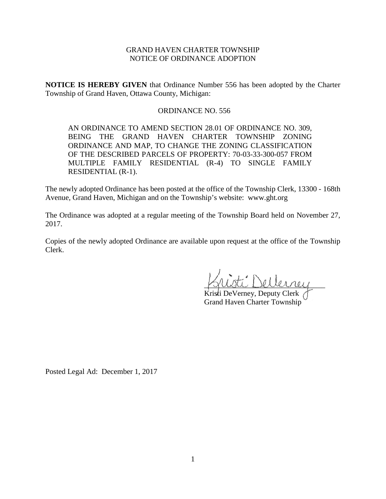# GRAND HAVEN CHARTER TOWNSHIP NOTICE OF ORDINANCE ADOPTION

**NOTICE IS HEREBY GIVEN** that Ordinance Number 556 has been adopted by the Charter Township of Grand Haven, Ottawa County, Michigan:

## ORDINANCE NO. 556

AN ORDINANCE TO AMEND SECTION 28.01 OF ORDINANCE NO. 309, BEING THE GRAND HAVEN CHARTER TOWNSHIP ZONING ORDINANCE AND MAP, TO CHANGE THE ZONING CLASSIFICATION OF THE DESCRIBED PARCELS OF PROPERTY: 70-03-33-300-057 FROM MULTIPLE FAMILY RESIDENTIAL (R-4) TO SINGLE FAMILY RESIDENTIAL (R-1).

The newly adopted Ordinance has been posted at the office of the Township Clerk, 13300 - 168th Avenue, Grand Haven, Michigan and on the Township's website: www.ght.org

The Ordinance was adopted at a regular meeting of the Township Board held on November 27, 2017.

Copies of the newly adopted Ordinance are available upon request at the office of the Township Clerk.

\_\_\_\_\_\_\_\_\_\_\_\_\_\_\_\_\_\_\_\_\_\_\_\_\_\_\_\_\_\_\_\_

Kristi DeVerney, Deputy Clerk Grand Haven Charter Township

Posted Legal Ad: December 1, 2017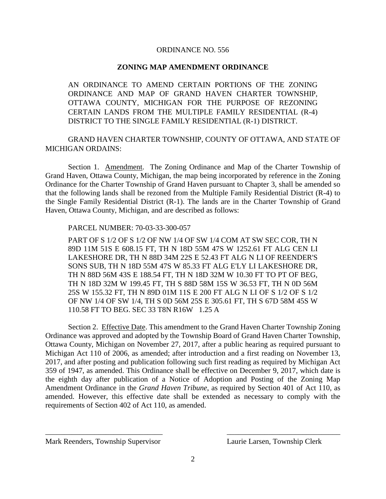### ORDINANCE NO. 556

### **ZONING MAP AMENDMENT ORDINANCE**

AN ORDINANCE TO AMEND CERTAIN PORTIONS OF THE ZONING ORDINANCE AND MAP OF GRAND HAVEN CHARTER TOWNSHIP, OTTAWA COUNTY, MICHIGAN FOR THE PURPOSE OF REZONING CERTAIN LANDS FROM THE MULTIPLE FAMILY RESIDENTIAL (R-4) DISTRICT TO THE SINGLE FAMILY RESIDENTIAL (R-1) DISTRICT.

GRAND HAVEN CHARTER TOWNSHIP, COUNTY OF OTTAWA, AND STATE OF MICHIGAN ORDAINS:

Section 1. Amendment. The Zoning Ordinance and Map of the Charter Township of Grand Haven, Ottawa County, Michigan, the map being incorporated by reference in the Zoning Ordinance for the Charter Township of Grand Haven pursuant to Chapter 3, shall be amended so that the following lands shall be rezoned from the Multiple Family Residential District (R-4) to the Single Family Residential District (R-1). The lands are in the Charter Township of Grand Haven, Ottawa County, Michigan, and are described as follows:

#### PARCEL NUMBER: 70-03-33-300-057

PART OF S 1/2 OF S 1/2 OF NW 1/4 OF SW 1/4 COM AT SW SEC COR, TH N 89D 11M 51S E 608.15 FT, TH N 18D 55M 47S W 1252.61 FT ALG CEN LI LAKESHORE DR, TH N 88D 34M 22S E 52.43 FT ALG N LI OF REENDER'S SONS SUB, TH N 18D 55M 47S W 85.33 FT ALG E'LY LI LAKESHORE DR, TH N 88D 56M 43S E 188.54 FT, TH N 18D 32M W 10.30 FT TO PT OF BEG, TH N 18D 32M W 199.45 FT, TH S 88D 58M 15S W 36.53 FT, TH N 0D 56M 25S W 155.32 FT, TH N 89D 01M 11S E 200 FT ALG N LI OF S 1/2 OF S 1/2 OF NW 1/4 OF SW 1/4, TH S 0D 56M 25S E 305.61 FT, TH S 67D 58M 45S W 110.58 FT TO BEG. SEC 33 T8N R16W 1.25 A

Section 2. Effective Date. This amendment to the Grand Haven Charter Township Zoning Ordinance was approved and adopted by the Township Board of Grand Haven Charter Township, Ottawa County, Michigan on November 27, 2017, after a public hearing as required pursuant to Michigan Act 110 of 2006, as amended; after introduction and a first reading on November 13, 2017, and after posting and publication following such first reading as required by Michigan Act 359 of 1947, as amended. This Ordinance shall be effective on December 9, 2017, which date is the eighth day after publication of a Notice of Adoption and Posting of the Zoning Map Amendment Ordinance in the *Grand Haven Tribune*, as required by Section 401 of Act 110, as amended. However, this effective date shall be extended as necessary to comply with the requirements of Section 402 of Act 110, as amended.

\_\_\_\_\_\_\_\_\_\_\_\_\_\_\_\_\_\_\_\_\_\_\_\_\_\_\_\_\_\_\_ \_\_\_\_\_\_\_\_\_\_\_\_\_\_\_\_\_\_\_\_\_\_\_\_\_\_\_\_\_\_

Mark Reenders, Township Supervisor Laurie Larsen, Township Clerk